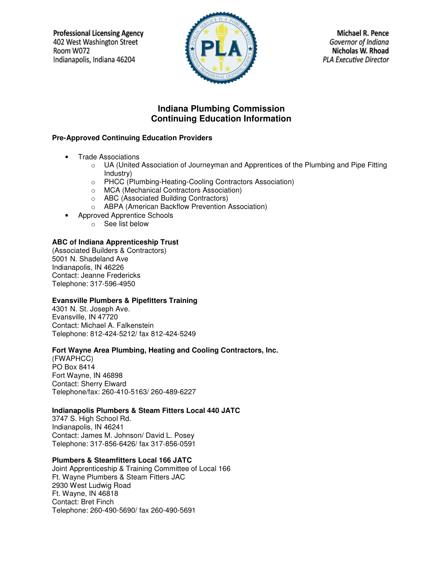**Professional Licensing Agency** 402 West Washington Street Room W072 Indianapolis, Indiana 46204



**Michael R. Pence** Governor of Indiana Nicholas W. Rhoad **PLA Executive Director** 

# **Indiana Plumbing Commission Continuing Education Information**

# **Pre-Approved Continuing Education Providers**

- Trade Associations
	- $\circ$  UA (United Association of Journeyman and Apprentices of the Plumbing and Pipe Fitting Industry)
	- o PHCC (Plumbing-Heating-Cooling Contractors Association)
	- o MCA (Mechanical Contractors Association)
	- o ABC (Associated Building Contractors)
	- o ABPA (American Backflow Prevention Association)
- Approved Apprentice Schools
	- o See list below

# **ABC of Indiana Apprenticeship Trust**

(Associated Builders & Contractors) 5001 N. Shadeland Ave Indianapolis, IN 46226 Contact: Jeanne Fredericks Telephone: 317-596-4950

# **Evansville Plumbers & Pipefitters Training**

4301 N. St. Joseph Ave. Evansville, IN 47720 Contact: Michael A. Falkenstein Telephone: 812-424-5212/ fax 812-424-5249

# **Fort Wayne Area Plumbing, Heating and Cooling Contractors, Inc.**

(FWAPHCC) PO Box 8414 Fort Wayne, IN 46898 Contact: Sherry Elward Telephone/fax: 260-410-5163/ 260-489-6227

# **Indianapolis Plumbers & Steam Fitters Local 440 JATC**

3747 S. High School Rd. Indianapolis, IN 46241 Contact: James M. Johnson/ David L. Posey Telephone: 317-856-6426/ fax 317-856-0591

# **Plumbers & Steamfitters Local 166 JATC**

Joint Apprenticeship & Training Committee of Local 166 Ft. Wayne Plumbers & Steam Fitters JAC 2930 West Ludwig Road Ft. Wayne, IN 46818 Contact: Bret Finch Telephone: 260-490-5690/ fax 260-490-5691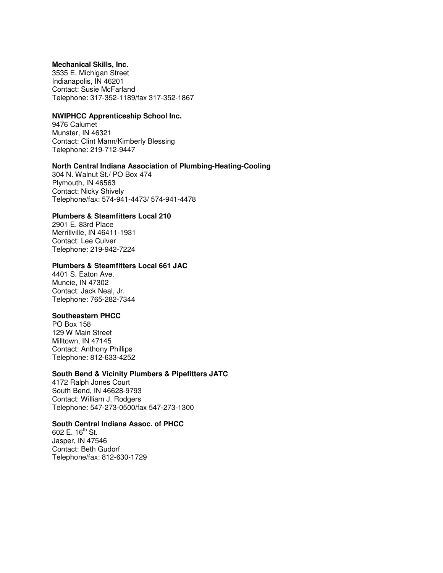#### **Mechanical Skills, Inc.**

3535 E. Michigan Street Indianapolis, IN 46201 Contact: Susie McFarland Telephone: 317-352-1189/fax 317-352-1867

# **NWIPHCC Apprenticeship School Inc.**

9476 Calumet Munster, IN 46321 Contact: Clint Mann/Kimberly Blessing Telephone: 219-712-9447

# **North Central Indiana Association of Plumbing-Heating-Cooling**

304 N. Walnut St./ PO Box 474 Plymouth, IN 46563 Contact: Nicky Shively Telephone/fax: 574-941-4473/ 574-941-4478

#### **Plumbers & Steamfitters Local 210**

2901 E. 83rd Place Merrillville, IN 46411-1931 Contact: Lee Culver Telephone: 219-942-7224

#### **Plumbers & Steamfitters Local 661 JAC**

4401 S. Eaton Ave. Muncie, IN 47302 Contact: Jack Neal, Jr. Telephone: 765-282-7344

# **Southeastern PHCC**

PO Box 158 129 W Main Street Milltown, IN 47145 Contact: Anthony Phillips Telephone: 812-633-4252

# **South Bend & Vicinity Plumbers & Pipefitters JATC**

4172 Ralph Jones Court South Bend, IN 46628-9793 Contact: William J. Rodgers Telephone: 547-273-0500/fax 547-273-1300

# **South Central Indiana Assoc. of PHCC**

602 E.  $16^{th}$  St. Jasper, IN 47546 Contact: Beth Gudorf Telephone/fax: 812-630-1729